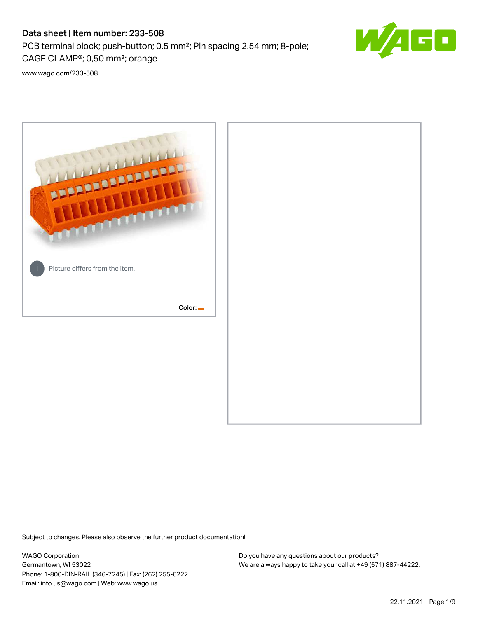# Data sheet | Item number: 233-508

PCB terminal block; push-button; 0.5 mm²; Pin spacing 2.54 mm; 8-pole; CAGE CLAMP®; 0,50 mm²; orange



[www.wago.com/233-508](http://www.wago.com/233-508)



Subject to changes. Please also observe the further product documentation!

WAGO Corporation Germantown, WI 53022 Phone: 1-800-DIN-RAIL (346-7245) | Fax: (262) 255-6222 Email: info.us@wago.com | Web: www.wago.us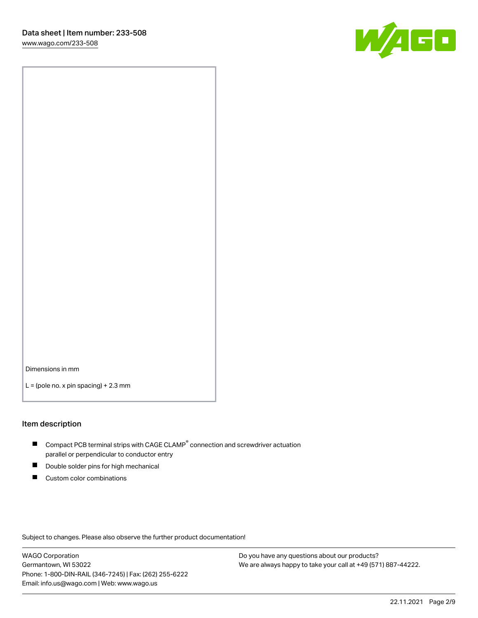

Dimensions in mm

 $L =$  (pole no. x pin spacing) + 2.3 mm

#### Item description

- $\blacksquare$  Compact PCB terminal strips with CAGE CLAMP<sup>®</sup> connection and screwdriver actuation parallel or perpendicular to conductor entry
- П Double solder pins for high mechanical
- $\blacksquare$ Custom color combinations

Subject to changes. Please also observe the further product documentation!

WAGO Corporation Germantown, WI 53022 Phone: 1-800-DIN-RAIL (346-7245) | Fax: (262) 255-6222 Email: info.us@wago.com | Web: www.wago.us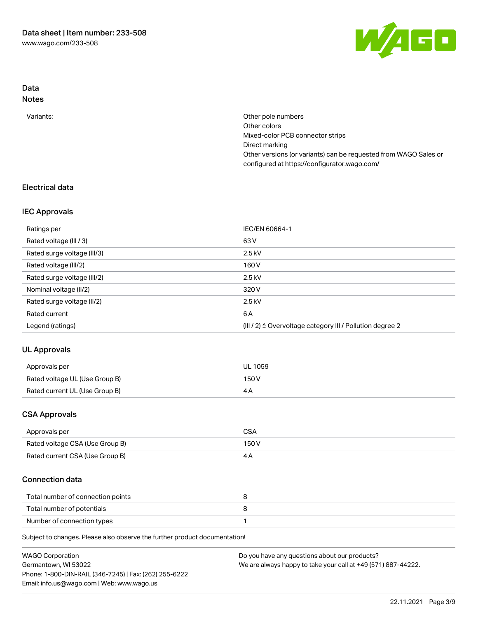

## Data Notes

| Variants: | Other pole numbers                                               |
|-----------|------------------------------------------------------------------|
|           | Other colors                                                     |
|           | Mixed-color PCB connector strips                                 |
|           | Direct marking                                                   |
|           | Other versions (or variants) can be requested from WAGO Sales or |
|           | configured at https://configurator.wago.com/                     |

## Electrical data

## IEC Approvals

| Ratings per                 | IEC/EN 60664-1                                                        |
|-----------------------------|-----------------------------------------------------------------------|
| Rated voltage (III / 3)     | 63 V                                                                  |
| Rated surge voltage (III/3) | $2.5$ kV                                                              |
| Rated voltage (III/2)       | 160 V                                                                 |
| Rated surge voltage (III/2) | $2.5$ kV                                                              |
| Nominal voltage (II/2)      | 320 V                                                                 |
| Rated surge voltage (II/2)  | $2.5$ kV                                                              |
| Rated current               | 6 A                                                                   |
| Legend (ratings)            | $(III / 2)$ $\triangle$ Overvoltage category III / Pollution degree 2 |

# UL Approvals

| Approvals per                  | <b>UL 1059</b> |
|--------------------------------|----------------|
| Rated voltage UL (Use Group B) | 150V           |
| Rated current UL (Use Group B) |                |

## CSA Approvals

| Approvals per                   | CSA   |
|---------------------------------|-------|
| Rated voltage CSA (Use Group B) | 150 V |
| Rated current CSA (Use Group B) |       |

## Connection data

| Total number of connection points |  |
|-----------------------------------|--|
| Total number of potentials        |  |
| Number of connection types        |  |

Subject to changes. Please also observe the further product documentation!

| <b>WAGO Corporation</b>                                | Do you have any questions about our products?                 |
|--------------------------------------------------------|---------------------------------------------------------------|
| Germantown, WI 53022                                   | We are always happy to take your call at +49 (571) 887-44222. |
| Phone: 1-800-DIN-RAIL (346-7245)   Fax: (262) 255-6222 |                                                               |
| Email: info.us@wago.com   Web: www.wago.us             |                                                               |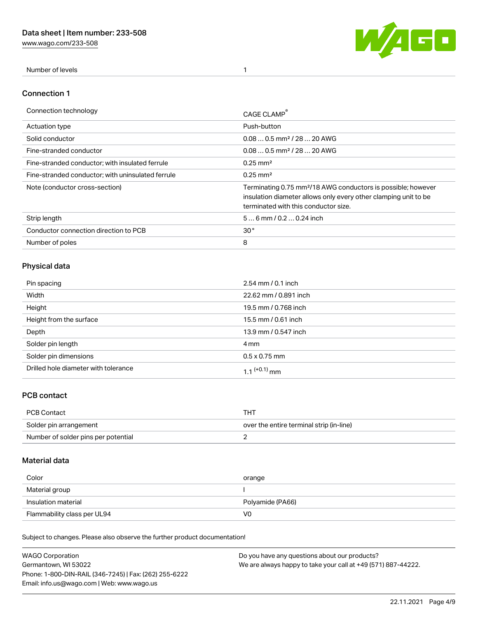[www.wago.com/233-508](http://www.wago.com/233-508)



Number of levels 1

### Connection 1

| Connection technology                             | CAGE CLAMP                                                                                                                                                                          |
|---------------------------------------------------|-------------------------------------------------------------------------------------------------------------------------------------------------------------------------------------|
| <b>Actuation type</b>                             | Push-button                                                                                                                                                                         |
| Solid conductor                                   | $0.080.5$ mm <sup>2</sup> / 28  20 AWG                                                                                                                                              |
| Fine-stranded conductor                           | $0.080.5$ mm <sup>2</sup> / 28  20 AWG                                                                                                                                              |
| Fine-stranded conductor; with insulated ferrule   | $0.25 \text{ mm}^2$                                                                                                                                                                 |
| Fine-stranded conductor: with uninsulated ferrule | $0.25 \text{ mm}^2$                                                                                                                                                                 |
| Note (conductor cross-section)                    | Terminating 0.75 mm <sup>2</sup> /18 AWG conductors is possible; however<br>insulation diameter allows only every other clamping unit to be<br>terminated with this conductor size. |
| Strip length                                      | $56$ mm $/ 0.20.24$ inch                                                                                                                                                            |
| Conductor connection direction to PCB             | 30 <sup>°</sup>                                                                                                                                                                     |
| Number of poles                                   | 8                                                                                                                                                                                   |

## Physical data

| Pin spacing                          | $2.54$ mm $/ 0.1$ inch   |
|--------------------------------------|--------------------------|
| Width                                | 22.62 mm / 0.891 inch    |
| Height                               | 19.5 mm / 0.768 inch     |
| Height from the surface              | 15.5 mm / 0.61 inch      |
| Depth                                | 13.9 mm / 0.547 inch     |
| Solder pin length                    | 4 mm                     |
| Solder pin dimensions                | $0.5 \times 0.75$ mm     |
| Drilled hole diameter with tolerance | 1.1 <sup>(+0.1)</sup> mm |

## PCB contact

| PCB Contact                         | THT                                      |
|-------------------------------------|------------------------------------------|
| Solder pin arrangement              | over the entire terminal strip (in-line) |
| Number of solder pins per potential |                                          |

## Material data

| Color               | orange           |
|---------------------|------------------|
| Material group      |                  |
| Insulation material |                  |
|                     | Polyamide (PA66) |

Subject to changes. Please also observe the further product documentation!

| <b>WAGO Corporation</b>                                | Do you have any questions about our products?                 |
|--------------------------------------------------------|---------------------------------------------------------------|
| Germantown, WI 53022                                   | We are always happy to take your call at +49 (571) 887-44222. |
| Phone: 1-800-DIN-RAIL (346-7245)   Fax: (262) 255-6222 |                                                               |
| Email: info.us@wago.com   Web: www.wago.us             |                                                               |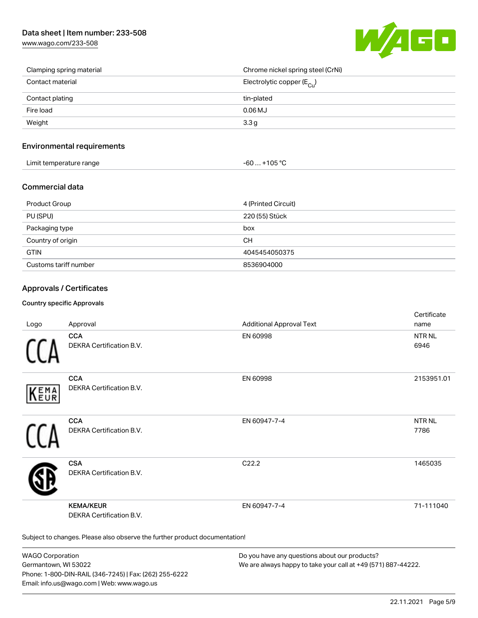## Data sheet | Item number: 233-508

[www.wago.com/233-508](http://www.wago.com/233-508)



| Clamping spring material | Chrome nickel spring steel (CrNi)      |
|--------------------------|----------------------------------------|
| Contact material         | Electrolytic copper (E <sub>Cu</sub> ) |
| Contact plating          | tin-plated                             |
| Fire load                | $0.06$ MJ                              |
| Weight                   | 3.3 <sub>g</sub>                       |

### Environmental requirements

| Limit temperature range | $-60+105 °C$ |
|-------------------------|--------------|
|-------------------------|--------------|

## Commercial data

| Product Group         | 4 (Printed Circuit) |
|-----------------------|---------------------|
| PU (SPU)              | 220 (55) Stück      |
| Packaging type        | box                 |
| Country of origin     | <b>CH</b>           |
| <b>GTIN</b>           | 4045454050375       |
| Customs tariff number | 8536904000          |

## Approvals / Certificates

#### Country specific Approvals

| Logo       | Approval                                                                   | <b>Additional Approval Text</b> | Certificate<br>name   |
|------------|----------------------------------------------------------------------------|---------------------------------|-----------------------|
|            | <b>CCA</b><br>DEKRA Certification B.V.                                     | EN 60998                        | <b>NTR NL</b><br>6946 |
| EMA<br>EUR | <b>CCA</b><br>DEKRA Certification B.V.                                     | EN 60998                        | 2153951.01            |
|            | <b>CCA</b><br>DEKRA Certification B.V.                                     | EN 60947-7-4                    | <b>NTR NL</b><br>7786 |
|            | <b>CSA</b><br>DEKRA Certification B.V.                                     | C <sub>22.2</sub>               | 1465035               |
|            | <b>KEMA/KEUR</b><br><b>DEKRA Certification B.V.</b>                        | EN 60947-7-4                    | 71-111040             |
|            | Subject to changes. Please also observe the further product documentation! |                                 |                       |

WAGO Corporation Germantown, WI 53022 Phone: 1-800-DIN-RAIL (346-7245) | Fax: (262) 255-6222 Email: info.us@wago.com | Web: www.wago.us

Do you have any questions about our products? We are always happy to take your call at +49 (571) 887-44222.

 $C$  cattle at  $\epsilon$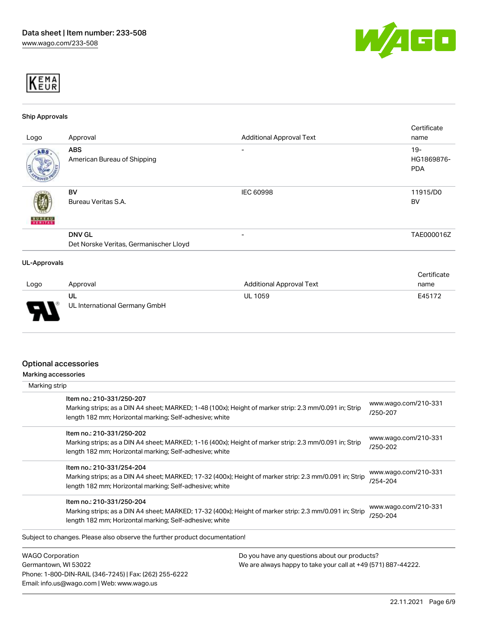



#### Ship Approvals

|                     |                                        |                                 | Certificate |
|---------------------|----------------------------------------|---------------------------------|-------------|
| Logo                | Approval                               | <b>Additional Approval Text</b> | name        |
| ABS.                | <b>ABS</b>                             | -                               | $19 -$      |
|                     | American Bureau of Shipping            |                                 | HG1869876-  |
|                     |                                        |                                 | <b>PDA</b>  |
|                     |                                        |                                 |             |
|                     | BV                                     | IEC 60998                       | 11915/D0    |
|                     | Bureau Veritas S.A.                    |                                 | BV          |
|                     |                                        |                                 |             |
| <b>BUREAU</b>       |                                        |                                 |             |
|                     | <b>DNV GL</b>                          | -                               | TAE000016Z  |
|                     | Det Norske Veritas, Germanischer Lloyd |                                 |             |
| <b>UL-Approvals</b> |                                        |                                 |             |
|                     |                                        |                                 | Certificate |
| امتنموهم المسما     |                                        | Additional Approval Tout        | max         |

| Logo   | Approval                            | <b>Additional Approval Text</b> | name   |
|--------|-------------------------------------|---------------------------------|--------|
| $\Box$ | UL<br>UL International Germany GmbH | <b>UL 1059</b>                  | E45172 |

### Optional accessories

Phone: 1-800-DIN-RAIL (346-7245) | Fax: (262) 255-6222

Email: info.us@wago.com | Web: www.wago.us

Marking accessories

| Marking strip                                                                         |                                                                                                         |                                  |
|---------------------------------------------------------------------------------------|---------------------------------------------------------------------------------------------------------|----------------------------------|
| Item no.: 210-331/250-207<br>length 182 mm; Horizontal marking; Self-adhesive; white  | Marking strips; as a DIN A4 sheet; MARKED; 1-48 (100x); Height of marker strip: 2.3 mm/0.091 in; Strip  | www.wago.com/210-331<br>/250-207 |
| Item no.: 210-331/250-202<br>length 182 mm; Horizontal marking; Self-adhesive; white  | Marking strips; as a DIN A4 sheet; MARKED; 1-16 (400x); Height of marker strip: 2.3 mm/0.091 in; Strip  | www.wago.com/210-331<br>/250-202 |
| Item no.: 210-331/254-204<br>length 182 mm; Horizontal marking; Self-adhesive; white  | Marking strips; as a DIN A4 sheet; MARKED; 17-32 (400x); Height of marker strip: 2.3 mm/0.091 in; Strip | www.wago.com/210-331<br>/254-204 |
| Item no.: 210-331/250-204<br>length 182 mm; Horizontal marking; Self-adhesive; white  | Marking strips; as a DIN A4 sheet; MARKED; 17-32 (400x); Height of marker strip: 2.3 mm/0.091 in; Strip | www.wago.com/210-331<br>/250-204 |
| Subject to changes. Please also observe the further product documentation!            |                                                                                                         |                                  |
| <b>WAGO Corporation</b>                                                               | Do you have any questions about our products?                                                           |                                  |
| Germantown, WI 53022<br>We are always happy to take your call at +49 (571) 887-44222. |                                                                                                         |                                  |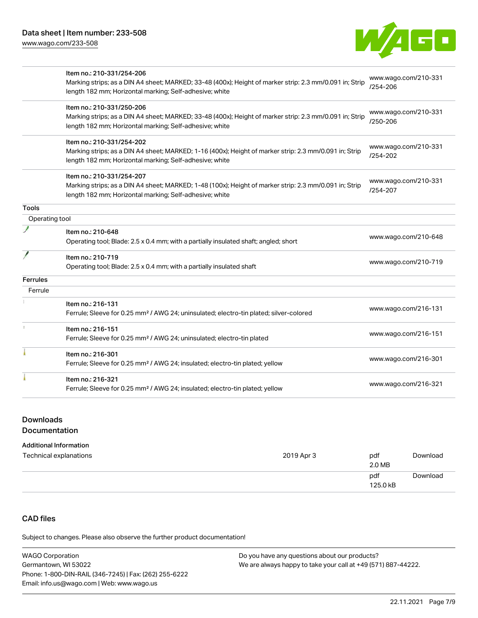

|                 | Item no.: 210-331/254-206                                                                               |                                      |  |
|-----------------|---------------------------------------------------------------------------------------------------------|--------------------------------------|--|
|                 | Marking strips; as a DIN A4 sheet; MARKED; 33-48 (400x); Height of marker strip: 2.3 mm/0.091 in; Strip | www.wago.com/210-331                 |  |
|                 | length 182 mm; Horizontal marking; Self-adhesive; white                                                 | /254-206                             |  |
|                 | Item no.: 210-331/250-206                                                                               |                                      |  |
|                 | Marking strips; as a DIN A4 sheet; MARKED; 33-48 (400x); Height of marker strip: 2.3 mm/0.091 in; Strip | www.wago.com/210-331                 |  |
|                 | length 182 mm; Horizontal marking; Self-adhesive; white                                                 | /250-206                             |  |
|                 | Item no.: 210-331/254-202                                                                               |                                      |  |
|                 | Marking strips; as a DIN A4 sheet; MARKED; 1-16 (400x); Height of marker strip: 2.3 mm/0.091 in; Strip  | www.wago.com/210-331                 |  |
|                 | length 182 mm; Horizontal marking; Self-adhesive; white                                                 | /254-202                             |  |
|                 | Item no.: 210-331/254-207                                                                               |                                      |  |
|                 | Marking strips; as a DIN A4 sheet; MARKED; 1-48 (100x); Height of marker strip: 2.3 mm/0.091 in; Strip  | www.wago.com/210-331<br>$/254 - 207$ |  |
|                 | length 182 mm; Horizontal marking; Self-adhesive; white                                                 |                                      |  |
| <b>Tools</b>    |                                                                                                         |                                      |  |
| Operating tool  |                                                                                                         |                                      |  |
|                 | Item no.: 210-648                                                                                       | www.wago.com/210-648                 |  |
|                 | Operating tool; Blade: 2.5 x 0.4 mm; with a partially insulated shaft; angled; short                    |                                      |  |
|                 | Item no.: 210-719                                                                                       |                                      |  |
|                 | Operating tool; Blade: 2.5 x 0.4 mm; with a partially insulated shaft                                   | www.wago.com/210-719                 |  |
| <b>Ferrules</b> |                                                                                                         |                                      |  |
| Ferrule         |                                                                                                         |                                      |  |
|                 | Item no.: 216-131                                                                                       |                                      |  |
|                 | Ferrule; Sleeve for 0.25 mm <sup>2</sup> / AWG 24; uninsulated; electro-tin plated; silver-colored      | www.wago.com/216-131                 |  |
|                 | Item no.: 216-151                                                                                       |                                      |  |
|                 | Ferrule; Sleeve for 0.25 mm <sup>2</sup> / AWG 24; uninsulated; electro-tin plated                      | www.wago.com/216-151                 |  |
|                 | Item no.: 216-301                                                                                       |                                      |  |
|                 | Ferrule; Sleeve for 0.25 mm <sup>2</sup> / AWG 24; insulated; electro-tin plated; yellow                | www.wago.com/216-301                 |  |
|                 | Item no.: 216-321                                                                                       |                                      |  |
|                 | Ferrule; Sleeve for 0.25 mm <sup>2</sup> / AWG 24; insulated; electro-tin plated; yellow                | www.wago.com/216-321                 |  |

## Downloads

### Documentation

#### Additional Information

| Technical explanations | 2019 Apr 3 | pdf<br>2.0 MB   | Download |
|------------------------|------------|-----------------|----------|
|                        |            | pdf<br>125.0 kB | Download |

# CAD files

Subject to changes. Please also observe the further product documentation!

| <b>WAGO Corporation</b>                                | Do you have any questions about our products?                 |
|--------------------------------------------------------|---------------------------------------------------------------|
| Germantown, WI 53022                                   | We are always happy to take your call at +49 (571) 887-44222. |
| Phone: 1-800-DIN-RAIL (346-7245)   Fax: (262) 255-6222 |                                                               |
| Email: info.us@wago.com   Web: www.wago.us             |                                                               |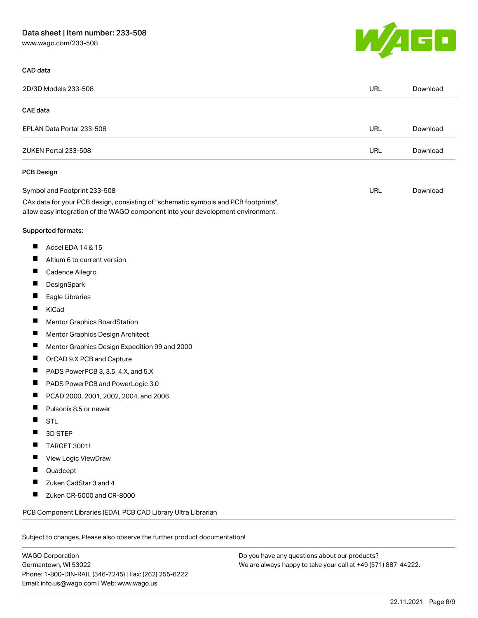## Data sheet | Item number: 233-508

[www.wago.com/233-508](http://www.wago.com/233-508)

## CAD data

| I I | <b>STATISTICS</b> |  |
|-----|-------------------|--|
|     |                   |  |

| 2D/3D Models 233-508                                                                                                                                                   | <b>URL</b> | Download |
|------------------------------------------------------------------------------------------------------------------------------------------------------------------------|------------|----------|
| <b>CAE</b> data                                                                                                                                                        |            |          |
| EPLAN Data Portal 233-508                                                                                                                                              | URL        | Download |
| ZUKEN Portal 233-508                                                                                                                                                   | <b>URL</b> | Download |
| <b>PCB Design</b>                                                                                                                                                      |            |          |
| Symbol and Footprint 233-508                                                                                                                                           | URL        | Download |
| CAx data for your PCB design, consisting of "schematic symbols and PCB footprints",<br>allow easy integration of the WAGO component into your development environment. |            |          |
| <b>Supported formats:</b>                                                                                                                                              |            |          |
| ш<br>Accel EDA 14 & 15                                                                                                                                                 |            |          |
| ш<br>Altium 6 to current version                                                                                                                                       |            |          |
| ш<br>Cadence Allegro                                                                                                                                                   |            |          |
| Ш<br>DesignSpark                                                                                                                                                       |            |          |
| Ш<br>Eagle Libraries                                                                                                                                                   |            |          |
| ш<br>KiCad                                                                                                                                                             |            |          |
| Ш<br>Mentor Graphics BoardStation                                                                                                                                      |            |          |
| ш<br>Mentor Graphics Design Architect                                                                                                                                  |            |          |
| ш<br>Mentor Graphics Design Expedition 99 and 2000                                                                                                                     |            |          |
| Ш<br>OrCAD 9.X PCB and Capture                                                                                                                                         |            |          |
| ц<br>PADS PowerPCB 3, 3.5, 4.X, and 5.X                                                                                                                                |            |          |
| Ш<br>PADS PowerPCB and PowerLogic 3.0                                                                                                                                  |            |          |
| Ш<br>PCAD 2000, 2001, 2002, 2004, and 2006                                                                                                                             |            |          |
| Ш<br>Pulsonix 8.5 or newer                                                                                                                                             |            |          |
| <b>STL</b>                                                                                                                                                             |            |          |
| 3D STEP                                                                                                                                                                |            |          |
| TARGET 3001!                                                                                                                                                           |            |          |
| View Logic ViewDraw                                                                                                                                                    |            |          |
| Quadcept                                                                                                                                                               |            |          |
| Zuken CadStar 3 and 4<br>п                                                                                                                                             |            |          |
| ш<br>Zuken CR-5000 and CR-8000                                                                                                                                         |            |          |
| PCB Component Libraries (EDA), PCB CAD Library Ultra Librarian                                                                                                         |            |          |
| Subject to changes. Please also observe the further product documentation!                                                                                             |            |          |

WAGO Corporation Germantown, WI 53022 Phone: 1-800-DIN-RAIL (346-7245) | Fax: (262) 255-6222 Email: info.us@wago.com | Web: www.wago.us